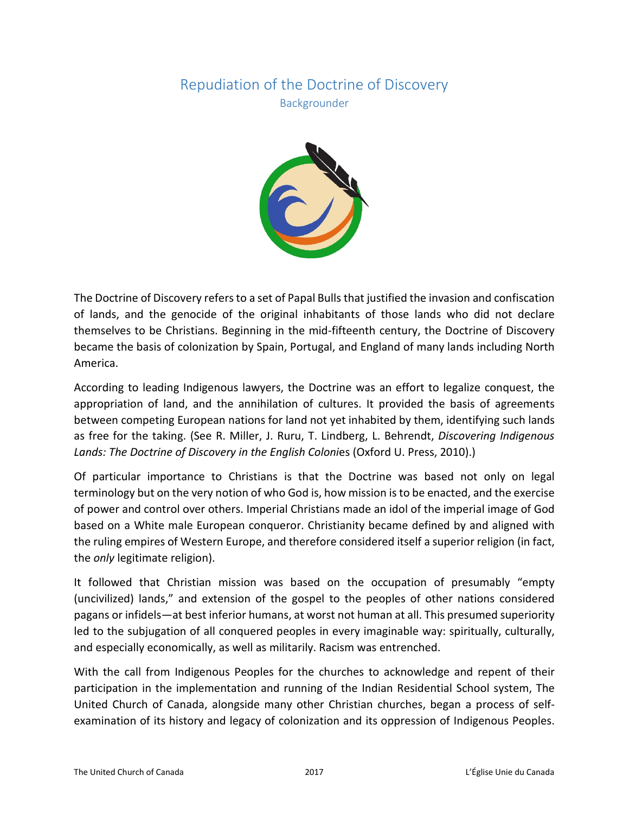## Repudiation of the Doctrine of Discovery Backgrounder



The Doctrine of Discovery refers to a set of Papal Bulls that justified the invasion and confiscation of lands, and the genocide of the original inhabitants of those lands who did not declare themselves to be Christians. Beginning in the mid-fifteenth century, the Doctrine of Discovery became the basis of colonization by Spain, Portugal, and England of many lands including North America.

According to leading Indigenous lawyers, the Doctrine was an effort to legalize conquest, the appropriation of land, and the annihilation of cultures. It provided the basis of agreements between competing European nations for land not yet inhabited by them, identifying such lands as free for the taking. (See R. Miller, J. Ruru, T. Lindberg, L. Behrendt, *Discovering Indigenous Lands: The Doctrine of Discovery in the English Coloni*es (Oxford U. Press, 2010).)

Of particular importance to Christians is that the Doctrine was based not only on legal terminology but on the very notion of who God is, how mission is to be enacted, and the exercise of power and control over others. Imperial Christians made an idol of the imperial image of God based on a White male European conqueror. Christianity became defined by and aligned with the ruling empires of Western Europe, and therefore considered itself a superior religion (in fact, the *only* legitimate religion).

It followed that Christian mission was based on the occupation of presumably "empty (uncivilized) lands," and extension of the gospel to the peoples of other nations considered pagans or infidels—at best inferior humans, at worst not human at all. This presumed superiority led to the subjugation of all conquered peoples in every imaginable way: spiritually, culturally, and especially economically, as well as militarily. Racism was entrenched.

With the call from Indigenous Peoples for the churches to acknowledge and repent of their participation in the implementation and running of the Indian Residential School system, The United Church of Canada, alongside many other Christian churches, began a process of selfexamination of its history and legacy of colonization and its oppression of Indigenous Peoples.